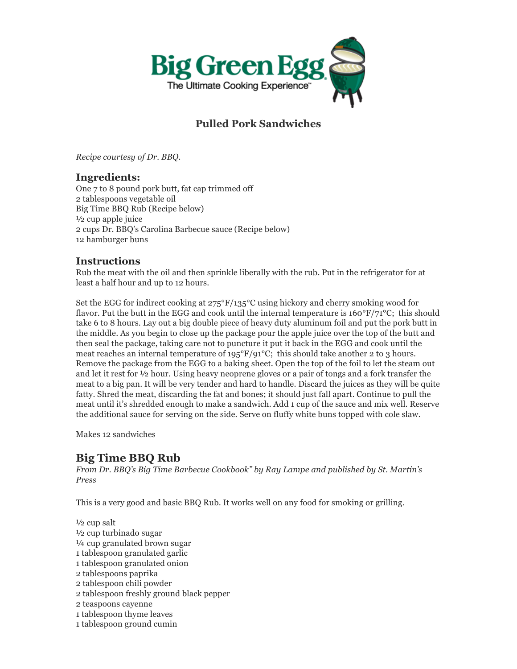

# **Pulled Pork Sandwiches**

*Recipe courtesy of Dr. BBQ.* 

### **Ingredients:**

One 7 to 8 pound pork butt, fat cap trimmed off 2 tablespoons vegetable oil Big Time BBQ Rub (Recipe below) ½ cup apple juice 2 cups Dr. BBQ's Carolina Barbecue sauce (Recipe below) 12 hamburger buns

### **Instructions**

Rub the meat with the oil and then sprinkle liberally with the rub. Put in the refrigerator for at least a half hour and up to 12 hours.

Set the EGG for indirect cooking at  $275^{\circ}F/135^{\circ}C$  using hickory and cherry smoking wood for flavor. Put the butt in the EGG and cook until the internal temperature is  $160^{\circ}F/71^{\circ}C$ ; this should take 6 to 8 hours. Lay out a big double piece of heavy duty aluminum foil and put the pork butt in the middle. As you begin to close up the package pour the apple juice over the top of the butt and then seal the package, taking care not to puncture it put it back in the EGG and cook until the meat reaches an internal temperature of  $195^{\circ}F/91^{\circ}C$ ; this should take another 2 to 3 hours. Remove the package from the EGG to a baking sheet. Open the top of the foil to let the steam out and let it rest for ½ hour. Using heavy neoprene gloves or a pair of tongs and a fork transfer the meat to a big pan. It will be very tender and hard to handle. Discard the juices as they will be quite fatty. Shred the meat, discarding the fat and bones; it should just fall apart. Continue to pull the meat until it's shredded enough to make a sandwich. Add 1 cup of the sauce and mix well. Reserve the additional sauce for serving on the side. Serve on fluffy white buns topped with cole slaw.

Makes 12 sandwiches

# **Big Time BBQ Rub**

*From Dr. BBQ's Big Time Barbecue Cookbook" by Ray Lampe and published by St. Martin's Press*

This is a very good and basic BBQ Rub. It works well on any food for smoking or grilling.

 $\frac{1}{2}$  cup salt ½ cup turbinado sugar ¼ cup granulated brown sugar 1 tablespoon granulated garlic 1 tablespoon granulated onion 2 tablespoons paprika 2 tablespoon chili powder 2 tablespoon freshly ground black pepper 2 teaspoons cayenne 1 tablespoon thyme leaves 1 tablespoon ground cumin